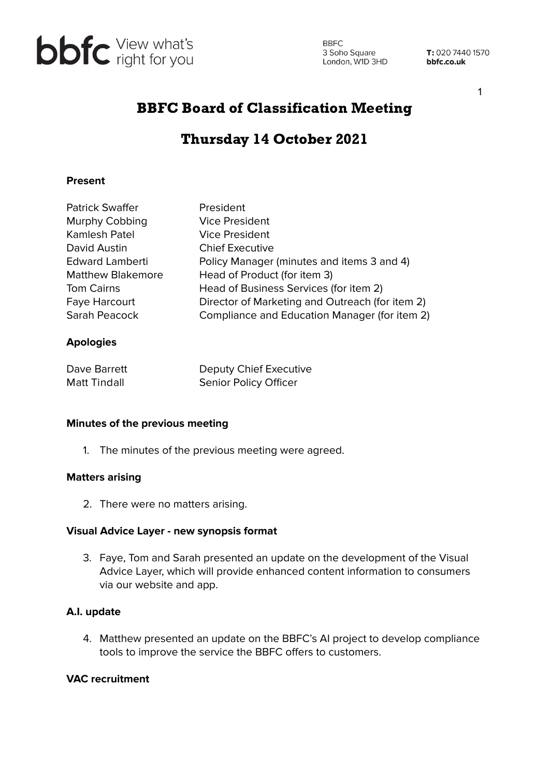

**BBFC** 3 Soho Square<br>
London, W1D 3HD<br> **bbfc.co.uk** 

T: 020 7440 1570

1

# BBFC Board of Classification Meeting

# Thursday 14 October 2021

## **Present**

| <b>Patrick Swaffer</b>   | President                                       |
|--------------------------|-------------------------------------------------|
| Murphy Cobbing           | <b>Vice President</b>                           |
| Kamlesh Patel            | <b>Vice President</b>                           |
| David Austin             | <b>Chief Executive</b>                          |
| <b>Edward Lamberti</b>   | Policy Manager (minutes and items 3 and 4)      |
| <b>Matthew Blakemore</b> | Head of Product (for item 3)                    |
| <b>Tom Cairns</b>        | Head of Business Services (for item 2)          |
| Faye Harcourt            | Director of Marketing and Outreach (for item 2) |
| Sarah Peacock            | Compliance and Education Manager (for item 2)   |
|                          |                                                 |

## **Apologies**

| Dave Barrett        | Deputy Chief Executive       |
|---------------------|------------------------------|
| <b>Matt Tindall</b> | <b>Senior Policy Officer</b> |

#### **Minutes of the previous meeting**

1. The minutes of the previous meeting were agreed.

### **Matters arising**

2. There were no matters arising.

#### **Visual Advice Layer - new synopsis format**

3. Faye, Tom and Sarah presented an update on the development of the Visual Advice Layer, which will provide enhanced content information to consumers via our website and app.

#### **A.I. update**

4. Matthew presented an update on the BBFC's AI project to develop compliance tools to improve the service the BBFC offers to customers.

#### **VAC recruitment**